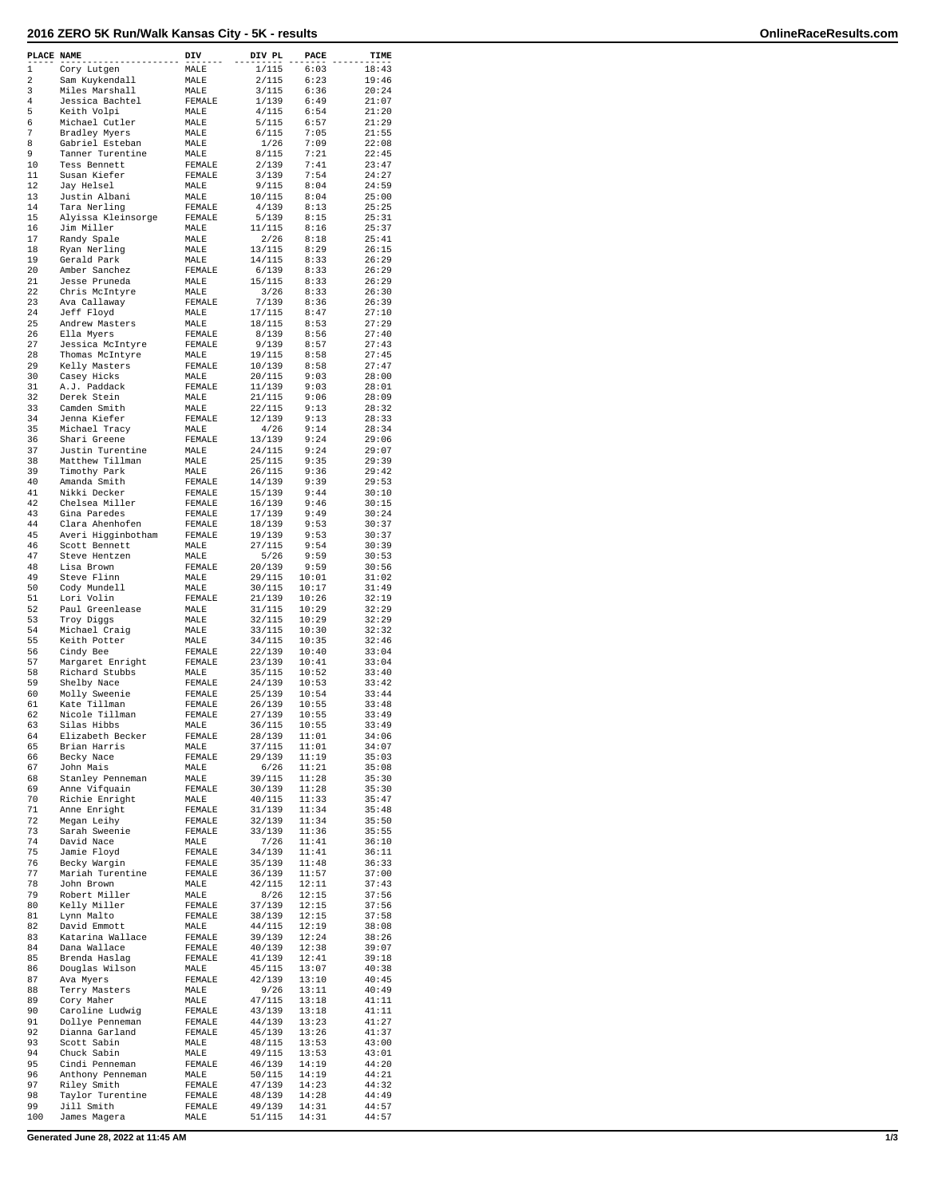## **2016 ZERO 5K Run/Walk Kansas City - 5K - results OnlineRaceResults.com**

| PLACE NAME |                                       | DIV                     | DIV PL           | <b>PACE</b>    | TIME           |
|------------|---------------------------------------|-------------------------|------------------|----------------|----------------|
| 1          | Cory Lutgen                           | MALE                    | 1/115            | 6:03           | 18:43          |
| 2          | Sam Kuykendall                        | MALE                    | 2/115            | 6:23           | 19:46          |
| 3<br>4     | Miles Marshall<br>Jessica Bachtel     | MALE<br>FEMALE          | 3/115<br>1/139   | 6:36<br>6:49   | 20:24<br>21:07 |
| 5          | Keith Volpi                           | MALE                    | 4/115            | 6:54           | 21:20          |
| 6          | Michael Cutler                        | MALE                    | 5/115            | 6:57           | 21:29          |
| 7<br>8     | Bradley Myers<br>Gabriel Esteban      | MALE<br>MALE            | 6/115<br>1/26    | 7:05<br>7:09   | 21:55<br>22:08 |
| 9          | Tanner Turentine                      | MALE                    | 8/115            | 7:21           | 22:45          |
| 10         | Tess Bennett                          | FEMALE                  | 2/139            | 7:41           | 23:47          |
| 11<br>12   | Susan Kiefer<br>Jay Helsel            | FEMALE<br>MALE          | 3/139<br>9/115   | 7:54<br>8:04   | 24:27<br>24:59 |
| 13         | Justin Albani                         | MALE                    | 10/115           | 8:04           | 25:00          |
| 14         | Tara Nerling                          | FEMALE                  | 4/139            | 8:13           | 25:25          |
| 15<br>16   | Alyissa Kleinsorge<br>Jim Miller      | FEMALE<br>MALE          | 5/139<br>11/115  | 8:15<br>8:16   | 25:31<br>25:37 |
| 17         | Randy Spale                           | MALE                    | 2/26             | 8:18           | 25:41          |
| 18         | Ryan Nerling                          | MALE                    | 13/115           | 8:29           | 26:15          |
| 19<br>20   | Gerald Park<br>Amber Sanchez          | MALE<br>FEMALE          | 14/115<br>6/139  | 8:33<br>8:33   | 26:29<br>26:29 |
| 21         | Jesse Pruneda                         | MALE                    | 15/115           | 8:33           | 26:29          |
| 22         | Chris McIntyre                        | MALE                    | 3/26             | 8:33           | 26:30          |
| 23<br>24   | Ava Callaway<br>Jeff Floyd            | FEMALE<br>MALE          | 7/139<br>17/115  | 8:36<br>8:47   | 26:39<br>27:10 |
| 25         | Andrew Masters                        | MALE                    | 18/115           | 8:53           | 27:29          |
| 26         | Ella Myers                            | FEMALE                  | 8/139            | 8:56           | 27:40          |
| 27<br>28   | Jessica McIntyre<br>Thomas McIntyre   | FEMALE<br>MALE          | 9/139<br>19/115  | 8:57<br>8:58   | 27:43<br>27:45 |
| 29         | Kelly Masters                         | FEMALE                  | 10/139           | 8:58           | 27:47          |
| 30         | Casey Hicks                           | MALE                    | 20/115           | 9:03           | 28:00          |
| 31<br>32   | A.J. Paddack<br>Derek Stein           | FEMALE                  | 11/139           | 9:03           | 28:01          |
| 33         | Camden Smith                          | MALE<br>MALE            | 21/115<br>22/115 | 9:06<br>9:13   | 28:09<br>28:32 |
| 34         | Jenna Kiefer                          | FEMALE                  | 12/139           | 9:13           | 28:33          |
| 35<br>36   | Michael Tracy                         | MALE                    | 4/26<br>13/139   | 9:14<br>9:24   | 28:34<br>29:06 |
| 37         | Shari Greene<br>Justin Turentine      | FEMALE<br>MALE          | 24/115           | 9:24           | 29:07          |
| 38         | Matthew Tillman                       | MALE                    | 25/115           | 9:35           | 29:39          |
| 39         | Timothy Park                          | MALE                    | 26/115           | 9:36           | 29:42          |
| 40<br>41   | Amanda Smith<br>Nikki Decker          | FEMALE<br>FEMALE        | 14/139<br>15/139 | 9:39<br>9:44   | 29:53<br>30:10 |
| 42         | Chelsea Miller                        | FEMALE                  | 16/139           | 9:46           | 30:15          |
| 43<br>44   | Gina Paredes                          | FEMALE                  | 17/139           | 9:49           | 30:24          |
| 45         | Clara Ahenhofen<br>Averi Higginbotham | FEMALE<br>FEMALE        | 18/139<br>19/139 | 9:53<br>9:53   | 30:37<br>30:37 |
| 46         | Scott Bennett                         | MALE                    | 27/115           | 9:54           | 30:39          |
| 47         | Steve Hentzen                         | MALE                    | 5/26             | 9:59           | 30:53          |
| 48<br>49   | Lisa Brown<br>Steve Flinn             | FEMALE<br>MALE          | 20/139<br>29/115 | 9:59<br>10:01  | 30:56<br>31:02 |
| 50         | Cody Mundell                          | MALE                    | 30/115           | 10:17          | 31:49          |
| 51         | Lori Volin                            | FEMALE                  | 21/139           | 10:26          | 32:19          |
| 52<br>53   | Paul Greenlease<br>Troy Diggs         | MALE<br>MALE            | 31/115<br>32/115 | 10:29<br>10:29 | 32:29<br>32:29 |
| 54         | Michael Craig                         | MALE                    | 33/115           | 10:30          | 32:32          |
| 55         | Keith Potter                          | MALE                    | 34/115           | 10:35          | 32:46          |
| 56<br>57   | Cindy Bee<br>Margaret Enright         | FEMALE<br>FEMALE        | 22/139<br>23/139 | 10:40<br>10:41 | 33:04<br>33:04 |
| 58         | Richard Stubbs                        | MALE                    | 35/115           | 10:52          | 33:40          |
| 59         | Shelby Nace                           | FEMALE                  | 24/139           | 10:53          | 33:42          |
| 60<br>61   | Molly Sweenie<br>Kate Tillman         | <b>FEMALE</b><br>FEMALE | 25/139<br>26/139 | 10:54<br>10:55 | 33:44<br>33:48 |
| 62         | Nicole Tillman                        | FEMALE                  | 27/139           | 10:55          | 33:49          |
| 63         | Silas Hibbs                           | MALE                    | 36/115           | 10:55          | 33:49          |
| 64<br>65   | Elizabeth Becker<br>Brian Harris      | FEMALE<br>MALE          | 28/139<br>37/115 | 11:01<br>11:01 | 34:06<br>34:07 |
| 66         | Becky Nace                            | <b>FEMALE</b>           | 29/139           | 11:19          | 35:03          |
| 67         | John Mais                             | MALE                    | 6/26             | 11:21          | 35:08          |
| 68<br>69   | Stanley Penneman<br>Anne Vifquain     | MALE<br>FEMALE          | 39/115<br>30/139 | 11:28<br>11:28 | 35:30<br>35:30 |
| 70         | Richie Enright                        | MALE                    | 40/115           | 11:33          | 35:47          |
| 71         | Anne Enright                          | FEMALE                  | 31/139           | 11:34          | 35:48          |
| 72<br>73   | Megan Leihy<br>Sarah Sweenie          | FEMALE<br>FEMALE        | 32/139<br>33/139 | 11:34<br>11:36 | 35:50<br>35:55 |
| 74         | David Nace                            | MALE                    | 7/26             | 11:41          | 36:10          |
| 75         | Jamie Floyd                           | FEMALE                  | 34/139           | 11:41          | 36:11          |
| 76<br>77   | Becky Wargin<br>Mariah Turentine      | FEMALE<br>FEMALE        | 35/139<br>36/139 | 11:48<br>11:57 | 36:33<br>37:00 |
| 78         | John Brown                            | MALE                    | 42/115           | 12:11          | 37:43          |
| 79         | Robert Miller                         | MALE                    | 8/26             | 12:15          | 37:56          |
| 80         | Kelly Miller                          | FEMALE                  | 37/139           | 12:15          | 37:56          |
| 81<br>82   | Lynn Malto<br>David Emmott            | FEMALE<br>MALE          | 38/139<br>44/115 | 12:15<br>12:19 | 37:58<br>38:08 |
| 83         | Katarina Wallace                      | FEMALE                  | 39/139           | 12:24          | 38:26          |
| 84         | Dana Wallace                          | FEMALE                  | 40/139           | 12:38          | 39:07          |
| 85<br>86   | Brenda Haslag<br>Douglas Wilson       | FEMALE<br>MALE          | 41/139<br>45/115 | 12:41<br>13:07 | 39:18<br>40:38 |
| 87         | Ava Myers                             | FEMALE                  | 42/139           | 13:10          | 40:45          |
| 88         | Terry Masters                         | MALE                    | 9/26             | 13:11          | 40:49          |
| 89<br>90   | Cory Maher<br>Caroline Ludwig         | MALE<br>FEMALE          | 47/115<br>43/139 | 13:18<br>13:18 | 41:11<br>41:11 |
| 91         | Dollye Penneman                       | FEMALE                  | 44/139           | 13:23          | 41:27          |
| 92         | Dianna Garland                        | FEMALE                  | 45/139           | 13:26          | 41:37          |
| 93<br>94   | Scott Sabin<br>Chuck Sabin            | MALE<br>MALE            | 48/115<br>49/115 | 13:53<br>13:53 | 43:00<br>43:01 |
| 95         | Cindi Penneman                        | FEMALE                  | 46/139           | 14:19          | 44:20          |
| 96         | Anthony Penneman                      | MALE                    | 50/115           | 14:19          | 44:21          |
| 97<br>98   | Riley Smith<br>Taylor Turentine       | FEMALE<br>FEMALE        | 47/139<br>48/139 | 14:23<br>14:28 | 44:32<br>44:49 |
| 99         | Jill Smith                            | FEMALE                  | 49/139           | 14:31          | 44:57          |
| 100        | James Magera                          | MALE                    | 51/115           | 14:31          | 44:57          |

**Generated June 28, 2022 at 11:45 AM 1/3**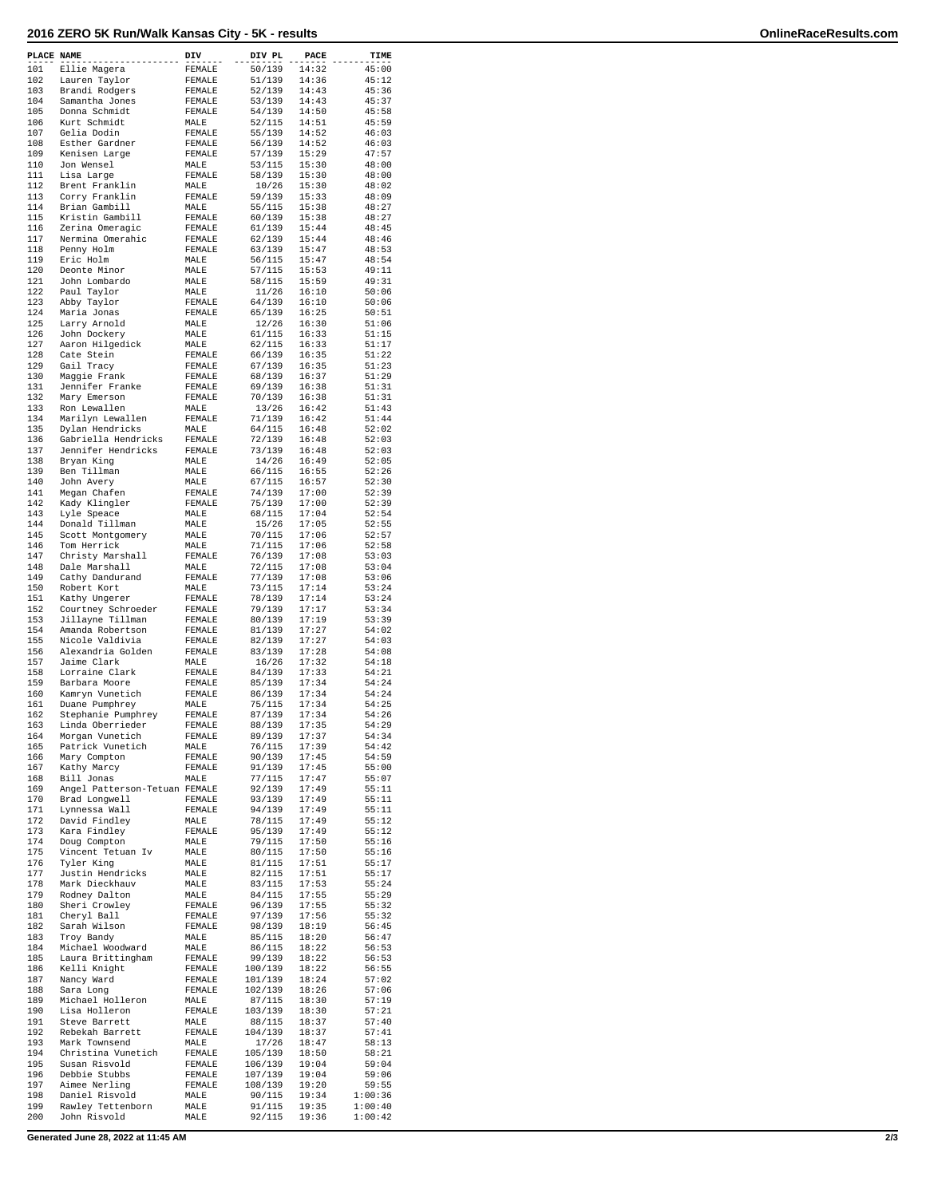## **2016 ZERO 5K Run/Walk Kansas City - 5K - results OnlineRaceResults.com**

| PLACE NAME |                                       | DIV            | DIV PL            | PACE           | TIME             |
|------------|---------------------------------------|----------------|-------------------|----------------|------------------|
| 101        | Ellie Magera                          | FEMALE         | 50/139            | 14:32          | 45:00            |
| 102        | Lauren Taylor                         | FEMALE         | 51/139            | 14:36          | 45:12            |
| 103        | Brandi Rodgers                        | FEMALE         | 52/139            | 14:43          | 45:36            |
| 104        | Samantha Jones                        | FEMALE         | 53/139            | 14:43          | 45:37            |
| 105        | Donna Schmidt                         | FEMALE         | 54/139            | 14:50          | 45:58            |
| 106        | Kurt Schmidt                          | MALE           | 52/115            | 14:51          | 45:59            |
| 107        | Gelia Dodin                           | FEMALE         | 55/139            | 14:52          | 46:03            |
| 108        | Esther Gardner                        | FEMALE         | 56/139            | 14:52          | 46:03            |
| 109        | Kenisen Large                         | FEMALE         | 57/139            | 15:29          | 47:57            |
| 110        | Jon Wensel                            | MALE           | 53/115            | 15:30          | 48:00            |
| 111<br>112 | Lisa Large<br>Brent Franklin          | FEMALE<br>MALE | 58/139<br>10/26   | 15:30<br>15:30 | 48:00<br>48:02   |
| 113        | Corry Franklin                        | FEMALE         | 59/139            | 15:33          | 48:09            |
| 114        | Brian Gambill                         | MALE           | 55/115            | 15:38          | 48:27            |
| 115        | Kristin Gambill                       | FEMALE         | 60/139            | 15:38          | 48:27            |
| 116        | Zerina Omeragic                       | FEMALE         | 61/139            | 15:44          | 48:45            |
| 117        | Nermina Omerahic                      | FEMALE         | 62/139            | 15:44          | 48:46            |
| 118        | Penny Holm                            | FEMALE         | 63/139            | 15:47          | 48:53            |
| 119        | Eric Holm                             | MALE           | 56/115            | 15:47          | 48:54            |
| 120        | Deonte Minor                          | MALE           | 57/115            | 15:53          | 49:11            |
| 121        | John Lombardo                         | MALE           | 58/115            | 15:59          | 49:31            |
| 122        | Paul Taylor                           | MALE           | 11/26             | 16:10          | 50:06            |
| 123        | Abby Taylor                           | FEMALE         | 64/139            | 16:10          | 50:06            |
| 124        | Maria Jonas                           | FEMALE         | 65/139            | 16:25          | 50:51            |
| 125        | Larry Arnold                          | MALE           | 12/26             | 16:30          | 51:06            |
| 126<br>127 | John Dockery<br>Aaron Hilgedick       | MALE<br>MALE   | 61/115<br>62/115  | 16:33          | 51:15<br>51:17   |
| 128        | Cate Stein                            | FEMALE         | 66/139            | 16:33<br>16:35 | 51:22            |
| 129        | Gail Tracy                            | FEMALE         | 67/139            | 16:35          | 51:23            |
| 130        | Maggie Frank                          | FEMALE         | 68/139            | 16:37          | 51:29            |
| 131        | Jennifer Franke                       | FEMALE         | 69/139            | 16:38          | 51:31            |
| 132        | Mary Emerson                          | FEMALE         | 70/139            | 16:38          | 51:31            |
| 133        | Ron Lewallen                          | MALE           | 13/26             | 16:42          | 51:43            |
| 134        | Marilyn Lewallen                      | FEMALE         | 71/139            | 16:42          | 51:44            |
| 135        | Dylan Hendricks                       | MALE           | 64/115            | 16:48          | 52:02            |
| 136        | Gabriella Hendricks                   | FEMALE         | 72/139            | 16:48          | 52:03            |
| 137        | Jennifer Hendricks                    | FEMALE         | 73/139            | 16:48          | 52:03            |
| 138        | Bryan King                            | MALE           | 14/26             | 16:49          | 52:05            |
| 139        | Ben Tillman                           | MALE           | 66/115            | 16:55          | 52:26            |
| 140        | John Avery                            | MALE           | 67/115            | 16:57          | 52:30            |
| 141        | Megan Chafen                          | FEMALE         | 74/139            | 17:00          | 52:39            |
| 142        | Kady Klingler                         | FEMALE         | 75/139            | 17:00          | 52:39            |
| 143<br>144 | Lyle Speace<br>Donald Tillman         | MALE           | 68/115<br>15/26   | 17:04<br>17:05 | 52:54<br>52:55   |
| 145        | Scott Montgomery                      | MALE<br>MALE   | 70/115            | 17:06          | 52:57            |
| 146        | Tom Herrick                           | MALE           | 71/115            | 17:06          | 52:58            |
| 147        | Christy Marshall                      | FEMALE         | 76/139            | 17:08          | 53:03            |
| 148        | Dale Marshall                         | MALE           | 72/115            | 17:08          | 53:04            |
| 149        | Cathy Dandurand                       | FEMALE         | 77/139            | 17:08          | 53:06            |
| 150        | Robert Kort                           | MALE           | 73/115            | 17:14          | 53:24            |
| 151        | Kathy Ungerer                         | FEMALE         | 78/139            | 17:14          | 53:24            |
| 152        | Courtney Schroeder                    | FEMALE         | 79/139            | 17:17          | 53:34            |
| 153        | Jillayne Tillman                      | FEMALE         | 80/139            | 17:19          | 53:39            |
| 154        | Amanda Robertson                      | FEMALE         | 81/139            | 17:27          | 54:02            |
| 155        | Nicole Valdivia                       | FEMALE         | 82/139            | 17:27          | 54:03            |
| 156<br>157 | Alexandria Golden                     | FEMALE         | 83/139            | 17:28<br>17:32 | 54:08<br>54:18   |
| 158        | Jaime Clark<br>Lorraine Clark         | MALE<br>FEMALE | 16/26<br>84/139   | 17:33          | 54:21            |
| 159        | Barbara Moore                         | FEMALE         | 85/139            | 17:34          | 54:24            |
| 160        | Kamryn Vunetich                       | FEMALE         | 86/139            | 17:34          | 54:24            |
| 161        | Duane Pumphrey                        | MALE           | 75/115            | 17:34          | 54:25            |
| 162        | Stephanie Pumphrey                    | FEMALE         | 87/139            | 17:34          | 54:26            |
| 163        | Linda Oberrieder                      | FEMALE         | 88/139            | 17:35          | 54:29            |
| 164        | Morgan Vunetich                       | FEMALE         | 89/139            | 17:37          | 54:34            |
| 165        | Patrick Vunetich                      | MALE           | 76/115            | 17:39          | 54:42            |
| 166        | Mary Compton                          | FEMALE         | 90/139            | 17:45          | 54:59            |
| 167        | Kathy Marcy                           | FEMALE         | 91/139            | 17:45          | 55:00            |
| 168        | Bill Jonas                            | MALE           | 77/115            | 17:47          | 55:07            |
| 169<br>170 | Angel Patterson-Tetuan FEMALE         |                | 92/139            | 17:49          | 55:11            |
| 171        | Brad Longwell                         | FEMALE         | 93/139            | 17:49<br>17:49 | 55:11<br>55:11   |
| 172        | Lynnessa Wall<br>David Findley        | FEMALE<br>MALE | 94/139<br>78/115  | 17:49          | 55:12            |
| 173        | Kara Findley                          | FEMALE         | 95/139            | 17:49          | 55:12            |
| 174        | Doug Compton                          | MALE           | 79/115            | 17:50          | 55:16            |
| 175        | Vincent Tetuan Iv                     | MALE           | 80/115            | 17:50          | 55:16            |
| 176        | Tyler King                            | MALE           | 81/115            | 17:51          | 55:17            |
| 177        | Justin Hendricks                      | MALE           | 82/115            | 17:51          | 55:17            |
| 178        | Mark Dieckhauv                        | MALE           | 83/115            | 17:53          | 55:24            |
| 179        | Rodney Dalton                         | MALE           | 84/115            | 17:55          | 55:29            |
| 180        | Sheri Crowley                         | FEMALE         | 96/139            | 17:55          | 55:32            |
| 181        | Cheryl Ball                           | FEMALE         | 97/139            | 17:56          | 55:32            |
| 182        | Sarah Wilson                          | FEMALE         | 98/139            | 18:19          | 56:45            |
| 183        | Troy Bandy                            | MALE           | 85/115            | 18:20          | 56:47            |
| 184<br>185 | Michael Woodward<br>Laura Brittingham | MALE<br>FEMALE | 86/115<br>99/139  | 18:22<br>18:22 | 56:53<br>56:53   |
| 186        | Kelli Knight                          | FEMALE         | 100/139           | 18:22          | 56:55            |
| 187        | Nancy Ward                            | FEMALE         | 101/139           | 18:24          | 57:02            |
| 188        | Sara Long                             | FEMALE         | 102/139           | 18:26          | 57:06            |
| 189        | Michael Holleron                      | MALE           | 87/115            | 18:30          | 57:19            |
| 190        | Lisa Holleron                         | FEMALE         | 103/139           | 18:30          | 57:21            |
| 191        | Steve Barrett                         | MALE           | 88/115            | 18:37          | 57:40            |
| 192        | Rebekah Barrett                       | FEMALE         | 104/139           | 18:37          | 57:41            |
| 193        | Mark Townsend                         | MALE           | 17/26             | 18:47          | 58:13            |
| 194        | Christina Vunetich                    | FEMALE         | 105/139           | 18:50          | 58:21            |
| 195        | Susan Risvold                         | FEMALE         | 106/139           | 19:04          | 59:04            |
| 196        | Debbie Stubbs                         | FEMALE         | 107/139           | 19:04          | 59:06            |
| 197<br>198 | Aimee Nerling<br>Daniel Risvold       | FEMALE<br>MALE | 108/139<br>90/115 | 19:20<br>19:34 | 59:55<br>1:00:36 |
| 199        | Rawley Tettenborn                     | MALE           | 91/115            | 19:35          | 1:00:40          |
| 200        | John Risvold                          | MALE           | 92/115            | 19:36          | 1:00:42          |
|            |                                       |                |                   |                |                  |

**Generated June 28, 2022 at 11:45 AM 2/3**